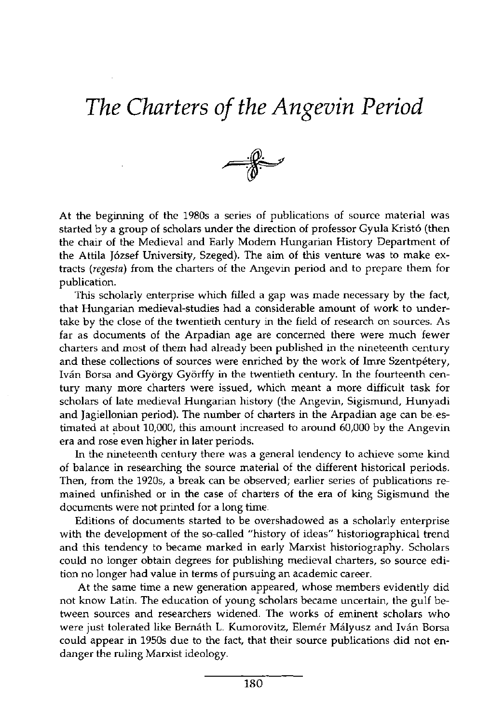## *The Charters of the Angevin Period*



At the beginning of the 1980s a series of publications of source material was started by a group of scholars under the direction of professor Gyula Kristó (then the chair of the Medieval and Early Modern Hungarian History Department of the Attila József University, Szeged). The aim of this venture was to make extracts (*regesta*) from the charters of the Angevin period and to prepare them for publication.

This scholarly enterprise which filled a gap was made necessary by the fact, that Hungarian medieval-studies had a considerable amount of work to undertake by the close of the twentieth century in the field of research on sources. As far as documents of the Arpadian age are concerned there were much fewer charters and most of them had already been published in the nineteenth century and these collections of sources were enriched by the work of Imre Szentpétery, Iván Borsa and György Györffy in the twentieth century. In the fourteenth century many more charters were issued, which meant a more difficult task for scholars of late medieval Hungarian history (the Angevin, Sigismund, Hunyadi and Jagiellonian period). The number of charters in the Arpadian age can be estimated at about 10,000, this amount increased to around 60,000 by the Angevin era and rose even higher in later periods.

In the nineteenth century there was a general tendency to achieve some kind of balance in researching the source material of the different historical periods. Then, from the 1920s, a break can be observed; earlier series of publications remained unfinished or in the case of charters of the era of king Sigismund the documents were not printed for a long time.

Editions of documents started to be overshadowed as a scholarly enterprise with the development of the so-called "history of ideas" historiographical trend and this tendency to became marked in early Marxist historiography. Scholars could no longer obtain degrees for publishing medieval charters, so source edition no longer had value in terms of pursuing an academic career.

At the same time a new generation appeared, whose members evidently did not know Latin. The education of young scholars became uncertain, the gulf between sources and researchers widened. The works of eminent scholars who were just tolerated like Bernáth L. Kumorovitz, Elemér Mályusz and Iván Borsa could appear in 1950s due to the fact, that their source publications did not endanger the ruling Marxist ideology.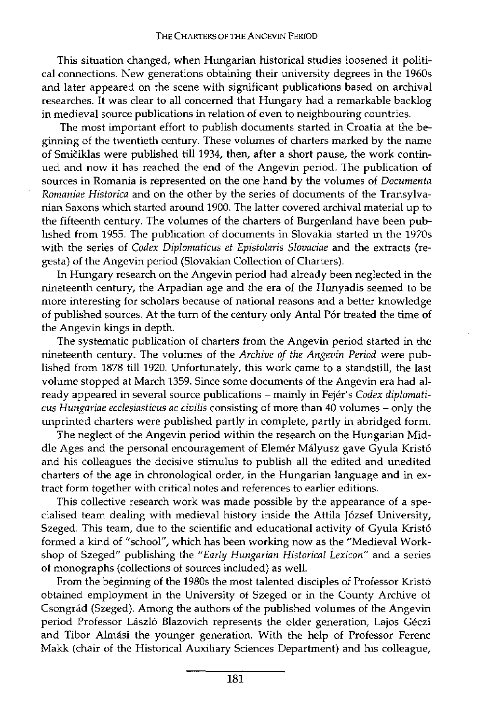This situation changed, when Hungarian historical studies loosened it political connections. New generations obtaining their university degrees in the 1960s and later appeared on the scene with significant publications based on archival researches. It was clear to all concerned that Hungary had a remarkable backlog in medieval source publications in relation of even to neighbouring countries.

The most important effort to publish documents started in Croatia at the beginning of the twentieth century. These volumes of charters marked by the name of Smiciklas were published till 1934, then, after a short pause, the work continued and now it has reached the end of the Angevin period. The publication of sources in Romania is represented on the one hand by the volumes of *Documenta Romaniae Historica* and on the other by the series of documents of the Transylvanian Saxons which started around 1900. The latter covered archival material up to the fifteenth century. The volumes of the charters of Burgenland have been published from 1955. The publication of documents in Slovakia started in the 1970s with the series of *Codex Diplomaticus et Epistolaris Slovaciae* and the extracts (regesta) of the Angevin period (Slovakian Collection of Charters).

In Hungary research on the Angevin period had already been neglected in the nineteenth century, the Arpadian age and the era of the Hunyadis seemed to be more interesting for scholars because of national reasons and a better knowledge of published sources. At the turn of the century only Antal Pór treated the time of the Angevin kings in depth.

The systematic publication of charters from the Angevin period started in the nineteenth century. The volumes of the *Archive of the Angevin Period* were published from 1878 till 1920. Unfortunately, this work came to a standstill, the last volume stopped at March 1359. Since some documents of the Angevin era had already appeared in several source publications - mainly in Fejér's *Codex diplomaticus Hungáriáé ecclesiasticus ac civilis* consisting of more than 40 volumes - only the unprinted charters were published partly in complete, partly in abridged form.

The neglect of the Angevin period within the research on the Hungarian Middle Ages and the personal encouragement of Elemér Mályusz gave Gyula Kristó and his colleagues the decisive stimulus to publish all the edited and unedited charters of the age in chronological order, in the Hungarian language and in extract form together with critical notes and references to earlier editions.

This collective research work was made possible by the appearance of a specialised team dealing with medieval history inside the Attila József University, Szeged. This team, due to the scientific and educational activity of Gyula Kristó formed a kind of "school", which has been working now as the "Medieval Workshop of Szeged" publishing the *"Early Hungarian Historical Lexicon"* and a series of monographs (collections of sources included) as well.

From the beginning of the 1980s the most talented disciples of Professor Kristó obtained employment in the University of Szeged or in the County Archive of Csongrád (Szeged). Among the authors of the published volumes of the Angevin period Professor László Blazovich represents the older generation, Lajos Géczi and Tibor Almási the younger generation. With the help of Professor Ferenc Makk (chair of the Historical Auxiliary Sciences Department) and his colleague,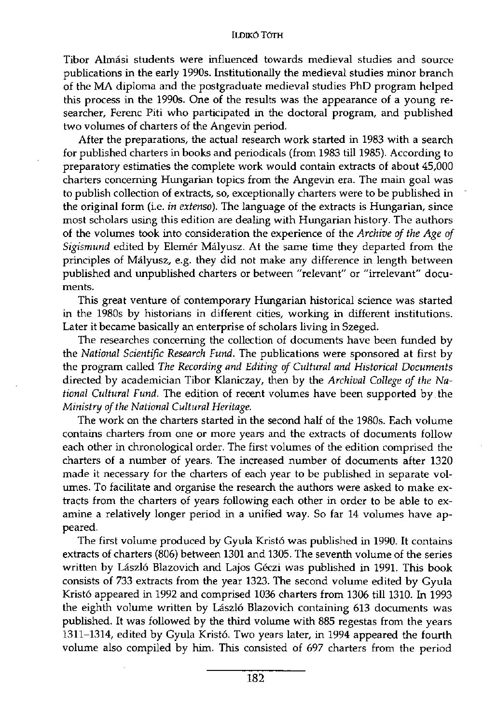## ILDIKÓ TÓTH

Tibor Almási students were influenced towards medieval studies and source publications in the early 1990s. Institutionally the medieval studies minor branch of the MA diploma and the postgraduate medieval studies PhD program helped this process in the 1990s. One of the results was the appearance of a young researcher, Ferenc Piti who participated in the doctoral program, and published two volumes of charters of the Angevin period.

After the preparations, the actual research work started in 1983 with a search for published charters in books and periodicals (from 1983 till 1985). According to preparatory estimaties the complete work would contain extracts of about 45,000 charters concerning Hungarian topics from the Angevin era. The main goal was to publish collection of extracts, so, exceptionally charters were to be published in the original form (i.e. *in extenso).* The language of the extracts is Hungarian, since most scholars using this edition are dealing with Hungarian history. The authors of the volumes took into consideration the experience of the *Archive of the Age of Sigismund* edited by Elemér Mályusz. At the same time they departed from the principles of Mályusz, e.g. they did not make any difference in length between published and unpublished charters or between "relevant" or "irrelevant" documents.

This great venture of contemporary Hungarian historical science was started in the 1980s by historians in different cities, working in different institutions. Later it became basically an enterprise of scholars living in Szeged.

The researches concerning the collection of documents have been funded by the *National Scientific Research Fund.* The publications were sponsored at first by the program called *The Recording and Editing of Cultural and Historical Documents*  directed by academician Tibor Klaniczay, then by the *Archival College of the National Cultural Fund.* The edition of recent volumes have been supported by . the *Ministry of the National Cultural Heritage.* 

The work on the charters started in the second half of the 1980s. Each volume contains charters from one or more years and the extracts of documents follow each other in chronological order. The first volumes of the edition comprised the charters of a number of years. The increased number of documents after 1320 made it necessary for the charters of each year to be published in separate volumes. To facilitate and organise the research the authors were asked to make extracts from the charters of years following each other in order to be able to examine a relatively longer period in a unified way. So far 14 volumes have appeared.

The first volume produced by Gyula Kristó was published in 1990. It contains extracts of charters (806) between 1301 and 1305. The seventh volume of the series written by László Blazovich and Lajos Géczi was published in 1991. This book consists of 733 extracts from the year 1323. The second volume edited by Gyula Kristó appeared in 1992 and comprised 1036 charters from 1306 till 1310. In 1993 the eighth volume written by László Blazovich containing 613 documents was published. It was followed by the third volume with 885 regestas from the years 1311-1314, edited by Gyula Kristó. Two years later, in 1994 appeared the fourth volume also compiled by him. This consisted of 697 charters from the period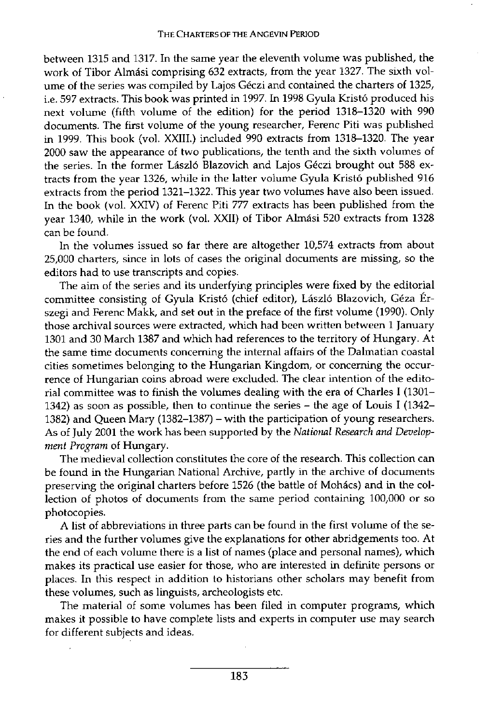between 1315 and 1317. In the same year the eleventh volume was published, the work of Tibor Almási comprising 632 extracts, from the year 1327. The sixth volume of the series was compiled by Lajos Géczi and contained the charters of 1325, i.e. 597 extracts. This book was printed in 1997. In 1998 Gyula Kristó produced his next volume (fifth volume of the edition) for the period 1318-1320 with 990 documents. The first volume of the young researcher, Ferenc Piti was published in 1999. This book (vol. XXIII.) included 990 extracts from 1318-1320. The year 2000 saw the appearance of two publications, the tenth and the sixth volumes of the series. In the former László Blazovich and Lajos Géczi brought out 588 extracts from the year 1326, while in the latter volume Gyula Kristó published 916 extracts from the period 1321-1322. This year two volumes have also been issued. In the book (vol. XXIV) of Ferenc Piti 777 extracts has been published from the year 1340, while in the work (vol. XXII) of Tibor Almási 520 extracts from 1328 can be found.

In the volumes issued so far there are altogether 10,574 extracts from about 25,000 charters, since in lots of cases the original documents are missing, so the editors had to use transcripts and copies.

The aim of the series and its underfying principles were fixed by the editorial committee consisting of Gyula Kristó (chief editor), László Blazovich, Géza Érszegi and Ferenc Makk, and set out in the preface of the first volume (1990). Only those archival sources were extracted, which had been written between 1 January 1301 and 30 March 1387 and which had references to the territory of Hungary. At the same time documents concerning the internal affairs of the Dalmatian coastal cities sometimes belonging to the Hungarian Kingdom, or concerning the occurrence of Hungarian coins abroad were excluded. The clear intention of the editorial committee was to finish the volumes dealing with the era of Charles I (1301- 1342) as soon as possible, then to continue the series - the age of Louis I (1342- 1382) and Queen Mary (1382-1387) - with the participation of young researchers. As of July 2001 the work has been supported by the *National Research and Development Program* of Hungary.

The medieval collection constitutes the core of the research. This collection can be found in the Hungarian National Archive, partly in the archive of documents preserving the original charters before 1526 (the battle of Mohács) and in the collection of photos of documents from the same period containing 100,000 or so photocopies.

A list of abbreviations in three parts can be found in the first volume of the series and the further volumes give the explanations for other abridgements too. At the end of each volume there is a list of names (place and personal names), which makes its practical use easier for those, who are interested in definite persons or places. In this respect in addition to historians other scholars may benefit from these volumes, such as linguists, archeologists etc.

The material of some volumes has been filed in computer programs, which makes it possible to have complete lists and experts in computer use may search for different subjects and ideas.